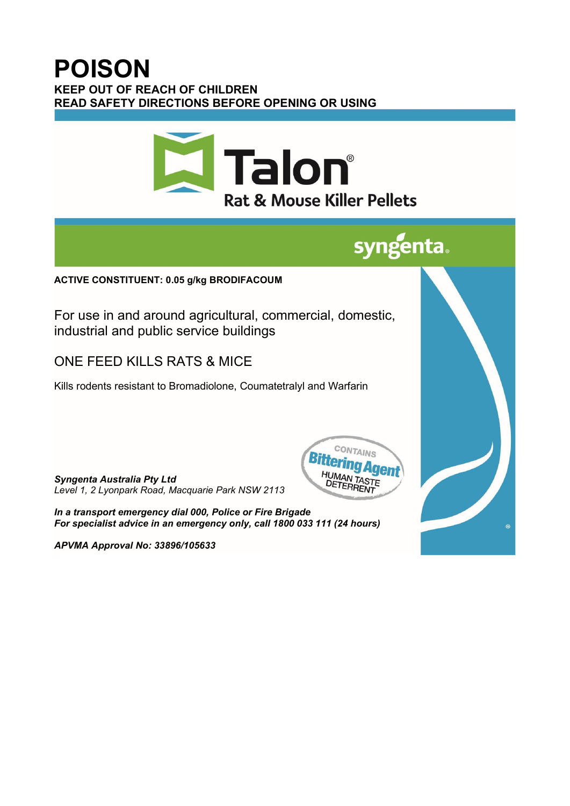## **POISON KEEP OUT OF REACH OF CHILDREN READ SAFETY DIRECTIONS BEFORE OPENING OR USING**



# **syngenta**

### **ACTIVE CONSTITUENT: 0.05 g/kg BRODIFACOUM**

For use in and around agricultural, commercial, domestic, industrial and public service buildings

## ONE FEED KILLS RATS & MICE

Kills rodents resistant to Bromadiolone, Coumatetralyl and Warfarin

*Syngenta Australia Pty Ltd Level 1, 2 Lyonpark Road, Macquarie Park NSW 2113*



*In a transport emergency dial 000, Police or Fire Brigade For specialist advice in an emergency only, call 1800 033 111 (24 hours)*

*APVMA Approval No: 33896/105633*

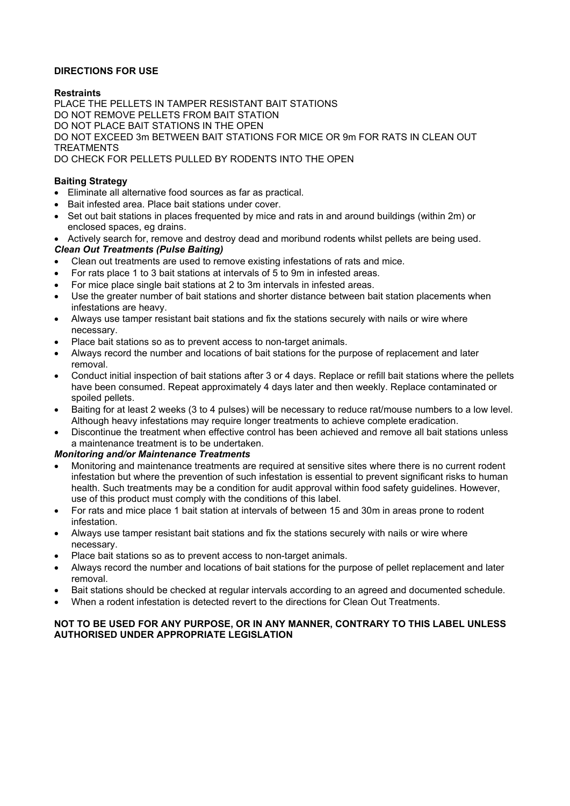#### **DIRECTIONS FOR USE**

#### **Restraints**

PLACE THE PELLETS IN TAMPER RESISTANT BAIT STATIONS DO NOT REMOVE PELLETS FROM BAIT STATION DO NOT PLACE BAIT STATIONS IN THE OPEN DO NOT EXCEED 3m BETWEEN BAIT STATIONS FOR MICE OR 9m FOR RATS IN CLEAN OUT TREATMENTS DO CHECK FOR PELLETS PULLED BY RODENTS INTO THE OPEN

#### **Baiting Strategy**

- Eliminate all alternative food sources as far as practical.
- Bait infested area. Place bait stations under cover.
- Set out bait stations in places frequented by mice and rats in and around buildings (within 2m) or enclosed spaces, eg drains.
- Actively search for, remove and destroy dead and moribund rodents whilst pellets are being used.

#### *Clean Out Treatments (Pulse Baiting)*

- Clean out treatments are used to remove existing infestations of rats and mice.
- For rats place 1 to 3 bait stations at intervals of 5 to 9m in infested areas.
- For mice place single bait stations at 2 to 3m intervals in infested areas.
- Use the greater number of bait stations and shorter distance between bait station placements when infestations are heavy.
- Always use tamper resistant bait stations and fix the stations securely with nails or wire where necessary.
- Place bait stations so as to prevent access to non-target animals.
- Always record the number and locations of bait stations for the purpose of replacement and later removal.
- Conduct initial inspection of bait stations after 3 or 4 days. Replace or refill bait stations where the pellets have been consumed. Repeat approximately 4 days later and then weekly. Replace contaminated or spoiled pellets.
- Baiting for at least 2 weeks (3 to 4 pulses) will be necessary to reduce rat/mouse numbers to a low level. Although heavy infestations may require longer treatments to achieve complete eradication.
- Discontinue the treatment when effective control has been achieved and remove all bait stations unless a maintenance treatment is to be undertaken.

#### *Monitoring and/or Maintenance Treatments*

- Monitoring and maintenance treatments are required at sensitive sites where there is no current rodent infestation but where the prevention of such infestation is essential to prevent significant risks to human health. Such treatments may be a condition for audit approval within food safety guidelines. However, use of this product must comply with the conditions of this label.
- For rats and mice place 1 bait station at intervals of between 15 and 30m in areas prone to rodent infestation.
- Always use tamper resistant bait stations and fix the stations securely with nails or wire where necessary.
- Place bait stations so as to prevent access to non-target animals.
- Always record the number and locations of bait stations for the purpose of pellet replacement and later removal.
- Bait stations should be checked at regular intervals according to an agreed and documented schedule.
- When a rodent infestation is detected revert to the directions for Clean Out Treatments.

#### **NOT TO BE USED FOR ANY PURPOSE, OR IN ANY MANNER, CONTRARY TO THIS LABEL UNLESS AUTHORISED UNDER APPROPRIATE LEGISLATION**